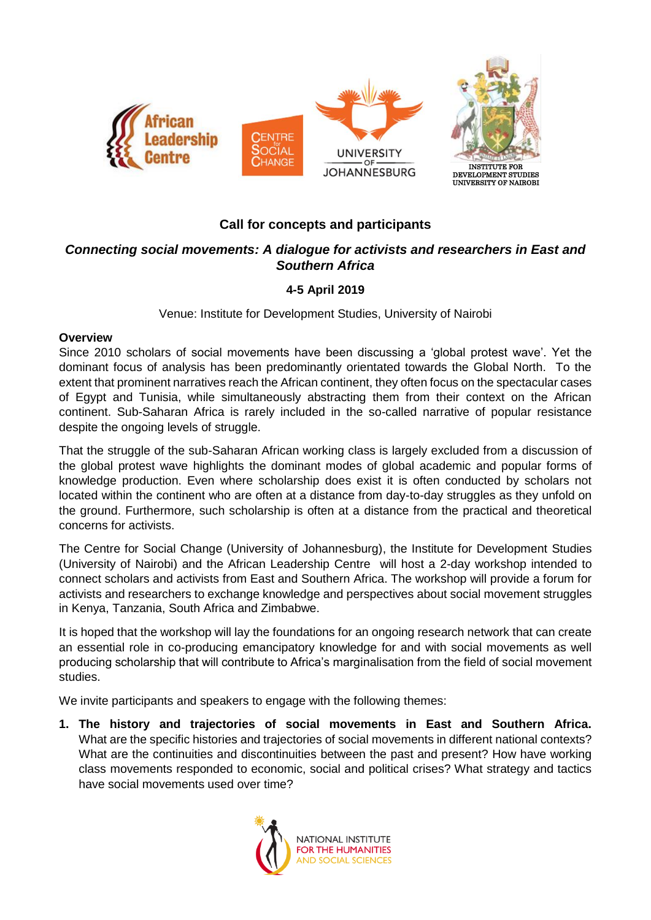

# **Call for concepts and participants**

# *Connecting social movements: A dialogue for activists and researchers in East and Southern Africa*

# **4-5 April 2019**

Venue: Institute for Development Studies, University of Nairobi

## **Overview**

Since 2010 scholars of social movements have been discussing a 'global protest wave'. Yet the dominant focus of analysis has been predominantly orientated towards the Global North. To the extent that prominent narratives reach the African continent, they often focus on the spectacular cases of Egypt and Tunisia, while simultaneously abstracting them from their context on the African continent. Sub-Saharan Africa is rarely included in the so-called narrative of popular resistance despite the ongoing levels of struggle.

That the struggle of the sub-Saharan African working class is largely excluded from a discussion of the global protest wave highlights the dominant modes of global academic and popular forms of knowledge production. Even where scholarship does exist it is often conducted by scholars not located within the continent who are often at a distance from day-to-day struggles as they unfold on the ground. Furthermore, such scholarship is often at a distance from the practical and theoretical concerns for activists.

The Centre for Social Change (University of Johannesburg), the Institute for Development Studies (University of Nairobi) and the African Leadership Centre will host a 2-day workshop intended to connect scholars and activists from East and Southern Africa. The workshop will provide a forum for activists and researchers to exchange knowledge and perspectives about social movement struggles in Kenya, Tanzania, South Africa and Zimbabwe.

It is hoped that the workshop will lay the foundations for an ongoing research network that can create an essential role in co-producing emancipatory knowledge for and with social movements as well producing scholarship that will contribute to Africa's marginalisation from the field of social movement studies.

We invite participants and speakers to engage with the following themes:

**1. The history and trajectories of social movements in East and Southern Africa.** What are the specific histories and trajectories of social movements in different national contexts? What are the continuities and discontinuities between the past and present? How have working class movements responded to economic, social and political crises? What strategy and tactics have social movements used over time?